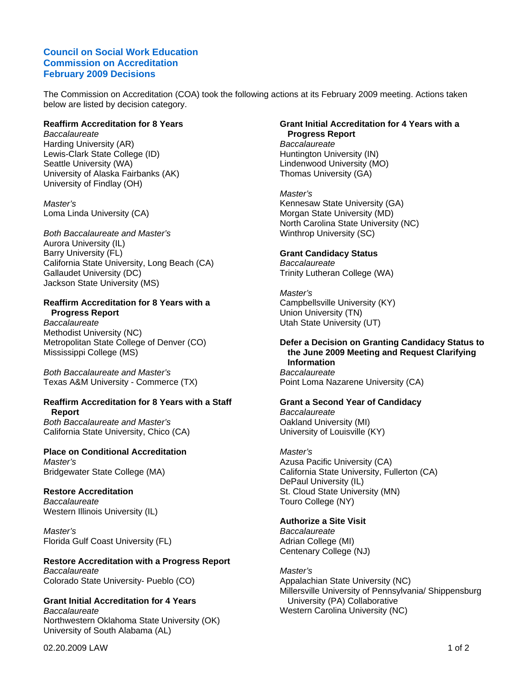#### **Council on Social Work Education Commission on Accreditation February 2009 Decisions**

The Commission on Accreditation (COA) took the following actions at its February 2009 meeting. Actions taken below are listed by decision category.

#### **Reaffirm Accreditation for 8 Years**

*Baccalaureate*  Harding University (AR) Lewis-Clark State College (ID) Seattle University (WA) University of Alaska Fairbanks (AK) University of Findlay (OH)

*Master's*  Loma Linda University (CA)

*Both Baccalaureate and Master's*  Aurora University (IL) Barry University (FL) California State University, Long Beach (CA) Gallaudet University (DC) Jackson State University (MS)

#### **Reaffirm Accreditation for 8 Years with a Progress Report**

*Baccalaureate*  Methodist University (NC) Metropolitan State College of Denver (CO) Mississippi College (MS)

*Both Baccalaureate and Master's*  Texas A&M University - Commerce (TX)

#### **Reaffirm Accreditation for 8 Years with a Staff Report**

*Both Baccalaureate and Master's*  California State University, Chico (CA)

#### **Place on Conditional Accreditation** *Master's*

Bridgewater State College (MA)

#### **Restore Accreditation**

*Baccalaureate*  Western Illinois University (IL)

*Master's*  Florida Gulf Coast University (FL)

#### **Restore Accreditation with a Progress Report**  *Baccalaureate*

Colorado State University- Pueblo (CO)

# **Grant Initial Accreditation for 4 Years**

*Baccalaureate*  Northwestern Oklahoma State University (OK) University of South Alabama (AL)

#### **Grant Initial Accreditation for 4 Years with a Progress Report**

*Baccalaureate*  Huntington University (IN) Lindenwood University (MO) Thomas University (GA)

*Master's*  Kennesaw State University (GA) Morgan State University (MD) North Carolina State University (NC) Winthrop University (SC)

#### **Grant Candidacy Status**

*Baccalaureate*  Trinity Lutheran College (WA)

*Master's*  Campbellsville University (KY) Union University (TN) Utah State University (UT)

### **Defer a Decision on Granting Candidacy Status to the June 2009 Meeting and Request Clarifying Information**

*Baccalaureate*  Point Loma Nazarene University (CA)

#### **Grant a Second Year of Candidacy**

*Baccalaureate*  Oakland University (MI) University of Louisville (KY)

*Master's* 

Azusa Pacific University (CA) California State University, Fullerton (CA) DePaul University (IL) St. Cloud State University (MN) Touro College (NY)

#### **Authorize a Site Visit**

*Baccalaureate*  Adrian College (MI) Centenary College (NJ)

*Master's*  Appalachian State University (NC) Millersville University of Pennsylvania/ Shippensburg University (PA) Collaborative Western Carolina University (NC)